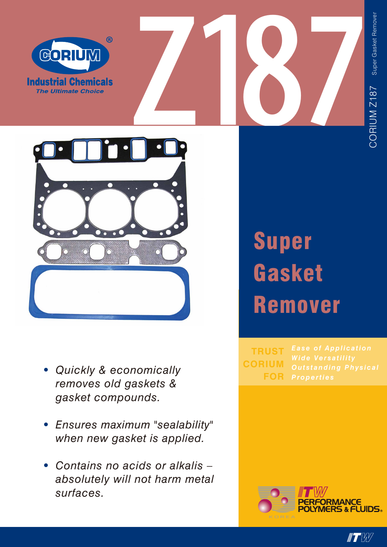



- *• Quickly & economically removes old gaskets & gasket compounds.*
- *• Ensures maximum "sealability" when new gasket is applied.*
- *• Contains no acids or alkalis – absolutely will not harm metal surfaces.*

## Super **Gasket** Remover

*Properties* **FOR TRUST CORIUM**



 $\blacksquare$